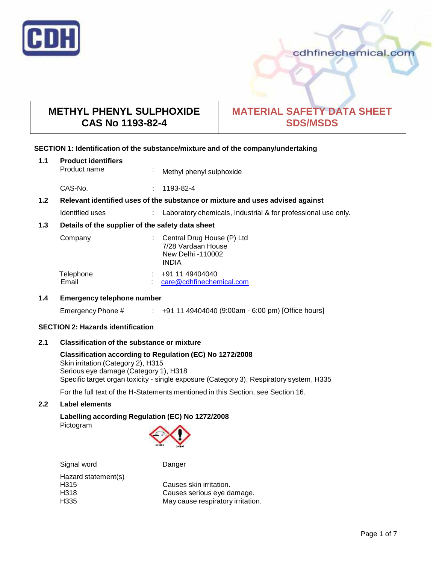

# **METHYL PHENYL SULPHOXIDE CAS No 1193-82-4**

# **MATERIAL SAFETY DATA SHEET SDS/MSDS**

## **SECTION 1: Identification of the substance/mixture and of the company/undertaking**

| 1.1 | <b>Product identifiers</b><br>Product name | Methyl phenyl sulphoxide |  |
|-----|--------------------------------------------|--------------------------|--|
|     |                                            |                          |  |

CAS-No. : 1193-82-4

# **1.2 Relevant identified uses of the substance ormixture and uses advised against**

| Identified uses | Laboratory chemicals, Industrial & for professional use only. |
|-----------------|---------------------------------------------------------------|
|-----------------|---------------------------------------------------------------|

## **1.3 Details of the supplier of the safety data sheet**

| Company   | : Central Drug House $(P)$ Ltd<br>7/28 Vardaan House<br>New Delhi -110002<br><b>INDIA</b> |
|-----------|-------------------------------------------------------------------------------------------|
| Telephone | +91 11 49404040                                                                           |
| Email     | care@cdhfinechemical.com                                                                  |

## **1.4 Emergency telephone number**

Emergency Phone # : +91 11 49404040 (9:00am - 6:00 pm) [Office hours]

## **SECTION 2: Hazards identification**

## **2.1 Classification of the substance ormixture**

#### **Classification according to Regulation (EC) No 1272/2008** Skin irritation (Category 2), H315 Serious eye damage (Category 1), H318 Specific target organ toxicity - single exposure (Category 3), Respiratory system, H335

For the full text of the H-Statements mentioned in this Section, see Section 16.

## **2.2 Label elements**

# **Labelling according Regulation (EC) No 1272/2008**

Pictogram



Signal word Danger Hazard statement(s)

H315 Causes skin irritation.<br>
H318 Causes serious eve d H318 Causes serious eye damage. May cause respiratory irritation.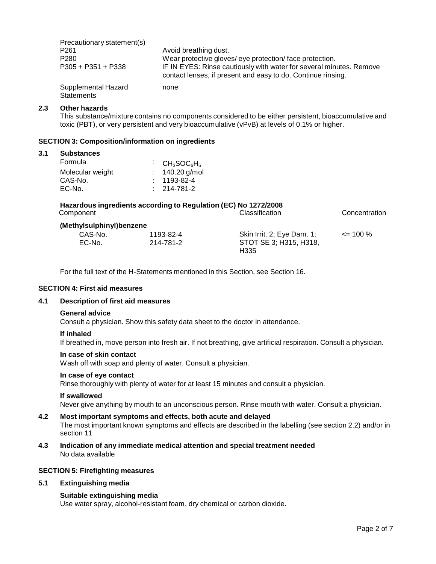| Precautionary statement(s)        |                                                                                                                                     |
|-----------------------------------|-------------------------------------------------------------------------------------------------------------------------------------|
| P <sub>261</sub>                  | Avoid breathing dust.                                                                                                               |
| P <sub>280</sub>                  | Wear protective gloves/ eye protection/face protection.                                                                             |
| $P305 + P351 + P338$              | IF IN EYES: Rinse cautiously with water for several minutes. Remove<br>contact lenses, if present and easy to do. Continue rinsing. |
| Supplemental Hazard<br>Statements | none                                                                                                                                |

#### **2.3 Other hazards**

This substance/mixture contains no components considered to be either persistent, bioaccumulative and toxic (PBT), or very persistent and very bioaccumulative (vPvB) at levels of 0.1% or higher.

#### **SECTION 3: Composition/information on ingredients**

#### **3.1 Substances**

| $\cdot$ CH <sub>3</sub> SOC <sub>6</sub> H <sub>5</sub> |
|---------------------------------------------------------|
| $: 140.20$ g/mol                                        |
| $: 1193 - 82 - 4$                                       |
| $: 214 - 781 - 2$                                       |
|                                                         |

# **Hazardous ingredients according to Regulation (EC) No 1272/2008 Concentration (Methylsulphinyl)benzene**

| nyisuipninyi)benzene |           |                            |              |  |
|----------------------|-----------|----------------------------|--------------|--|
| CAS-No.              | 1193-82-4 | Skin Irrit. 2; Eye Dam. 1; | $\leq$ 100 % |  |
| EC-No.               | 214-781-2 | STOT SE 3; H315, H318,     |              |  |
|                      |           | H <sub>335</sub>           |              |  |

For the full text of the H-Statements mentioned in this Section, see Section 16.

#### **SECTION 4: First aid measures**

#### **4.1 Description of first aid measures**

#### **General advice**

Consult a physician. Show this safety data sheet to the doctor in attendance.

#### **If inhaled**

If breathed in, move person into fresh air. If not breathing, give artificial respiration. Consult a physician.

#### **In case of skin contact**

Wash off with soap and plenty of water. Consult a physician.

## **In case of eye contact**

Rinse thoroughly with plenty of water for at least 15 minutes and consult a physician.

#### **If swallowed**

Never give anything by mouth to an unconscious person. Rinse mouth with water. Consult a physician.

#### **4.2 Most important symptoms and effects, both acute and delayed**

The most important known symptoms and effects are described in the labelling (see section 2.2) and/or in section 11

**4.3 Indication of any immediate medical attention and special treatment needed** No data available

#### **SECTION 5: Firefighting measures**

#### **5.1 Extinguishing media**

#### **Suitable extinguishing media**

Use water spray, alcohol-resistant foam, dry chemical or carbon dioxide.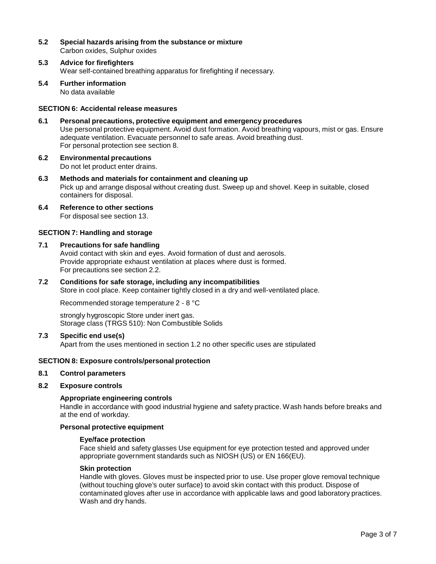- **5.2 Special hazards arising from the substance ormixture** Carbon oxides, Sulphur oxides
- **5.3 Advice for firefighters** Wear self-contained breathing apparatus for firefighting if necessary.
- **5.4 Further information** No data available

### **SECTION 6: Accidental release measures**

- **6.1 Personal precautions, protective equipment and emergency procedures** Use personal protective equipment. Avoid dust formation. Avoid breathing vapours, mist or gas. Ensure adequate ventilation. Evacuate personnel to safe areas. Avoid breathing dust. For personal protection see section 8.
- **6.2 Environmental precautions** Do not let product enter drains.

**6.3 Methods and materials for containment and cleaning up**

- Pick up and arrange disposal without creating dust. Sweep up and shovel. Keep in suitable, closed containers for disposal.
- **6.4 Reference to other sections** For disposal see section 13.

#### **SECTION 7: Handling and storage**

## **7.1 Precautions for safe handling**

Avoid contact with skin and eyes. Avoid formation of dust and aerosols. Provide appropriate exhaust ventilation at places where dust is formed. For precautions see section 2.2.

# **7.2 Conditions for safe storage, including any incompatibilities** Store in cool place. Keep container tightly closed in a dry and well-ventilated place.

Recommended storage temperature 2 - 8 °C

strongly hygroscopic Store under inert gas. Storage class (TRGS 510): Non Combustible Solids

#### **7.3 Specific end use(s)**

Apart from the uses mentioned in section 1.2 no other specific uses are stipulated

## **SECTION 8: Exposure controls/personal protection**

#### **8.1 Control parameters**

## **8.2 Exposure controls**

## **Appropriate engineering controls**

Handle in accordance with good industrial hygiene and safety practice. Wash hands before breaks and at the end of workday.

## **Personal protective equipment**

#### **Eye/face protection**

Face shield and safety glasses Use equipment for eye protection tested and approved under appropriate government standards such as NIOSH (US) or EN 166(EU).

## **Skin protection**

Handle with gloves. Gloves must be inspected prior to use. Use proper glove removal technique (without touching glove's outer surface) to avoid skin contact with this product. Dispose of contaminated gloves after use in accordance with applicable laws and good laboratory practices. Wash and dry hands.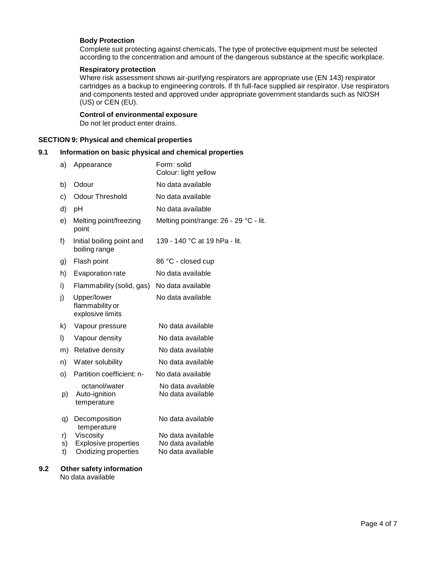## **Body Protection**

Complete suit protecting against chemicals, The type of protective equipment must be selected according to the concentration and amount of the dangerous substance at the specific workplace.

#### **Respiratory protection**

Where risk assessment shows air-purifying respirators are appropriate use (EN 143) respirator cartridges as a backup to engineering controls. If th full-face supplied air respirator. Use respirators and components tested and approved under appropriate government standards such as NIOSH (US) or CEN (EU).

## **Control of environmental exposure**

Do not let product enter drains.

#### **SECTION 9: Physical and chemical properties**

## **9.1 Information on basic physical and chemical properties**

| Appearance                                         | Form: solid<br>Colour: light yellow                 |
|----------------------------------------------------|-----------------------------------------------------|
| Odour                                              | No data available                                   |
| <b>Odour Threshold</b>                             | No data available                                   |
| pH                                                 | No data available                                   |
| Melting point/freezing<br>point                    | Melting point/range: 26 - 29 °C - lit.              |
| Initial boiling point and<br>boiling range         | 139 - 140 °C at 19 hPa - lit.                       |
| Flash point                                        | 86 °C - closed cup                                  |
| Evaporation rate                                   | No data available                                   |
| Flammability (solid, gas)                          | No data available                                   |
| Upper/lower<br>flammability or<br>explosive limits | No data available                                   |
| Vapour pressure                                    | No data available                                   |
| Vapour density                                     | No data available                                   |
| Relative density                                   | No data available                                   |
| Water solubility                                   | No data available                                   |
| Partition coefficient: n-                          | No data available                                   |
| octanol/water<br>Auto-ignition<br>temperature      | No data available<br>No data available              |
| Decomposition<br>temperature                       | No data available                                   |
| Viscosity                                          | No data available                                   |
|                                                    | No data available<br>No data available              |
|                                                    |                                                     |
|                                                    | <b>Explosive properties</b><br>Oxidizing properties |

# **9.2 Other safety information**

No data available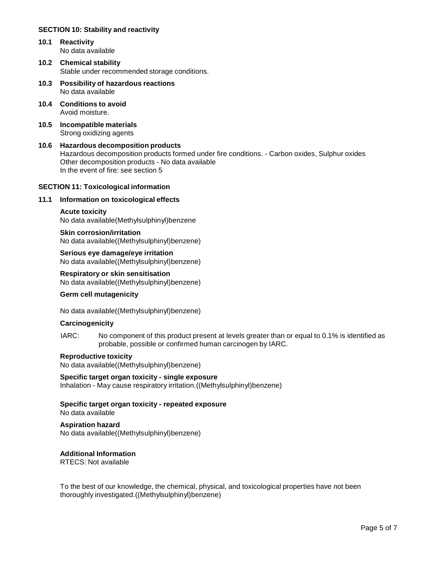## **SECTION 10: Stability and reactivity**

- **10.1 Reactivity** No data available
- **10.2 Chemical stability** Stable under recommended storage conditions.
- **10.3 Possibility of hazardous reactions** No data available
- **10.4 Conditions to avoid** Avoid moisture.
- **10.5 Incompatible materials** Strong oxidizing agents
- **10.6 Hazardous decomposition products** Hazardous decomposition products formed under fire conditions. - Carbon oxides, Sulphur oxides Other decomposition products - No data available In the event of fire: see section 5

## **SECTION 11: Toxicological information**

## **11.1 Information on toxicological effects**

#### **Acute toxicity**

No data available(Methylsulphinyl)benzene

**Skin corrosion/irritation** No data available((Methylsulphinyl)benzene)

**Serious eye damage/eye irritation** No data available((Methylsulphinyl)benzene)

**Respiratory orskin sensitisation** No data available((Methylsulphinyl)benzene)

#### **Germ cell mutagenicity**

No data available((Methylsulphinyl)benzene)

#### **Carcinogenicity**

IARC: No component of this product present at levels greater than or equal to 0.1% is identified as probable, possible or confirmed human carcinogen by IARC.

#### **Reproductive toxicity**

No data available((Methylsulphinyl)benzene)

# **Specific target organ toxicity - single exposure**

Inhalation - May cause respiratory irritation.((Methylsulphinyl)benzene)

## **Specific target organ toxicity - repeated exposure**

No data available

## **Aspiration hazard**

No data available((Methylsulphinyl)benzene)

## **Additional Information**

RTECS: Not available

To the best of our knowledge, the chemical, physical, and toxicological properties have not been thoroughly investigated.((Methylsulphinyl)benzene)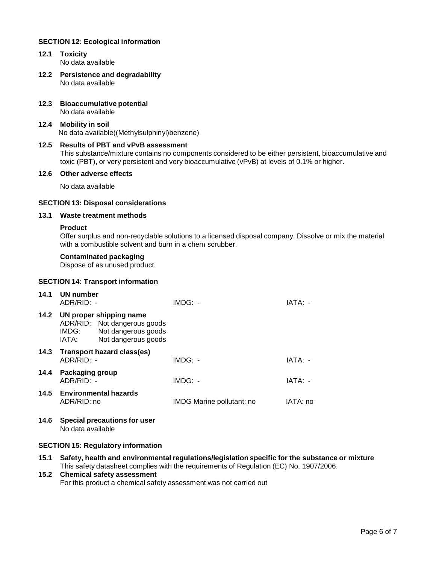## **SECTION 12: Ecological information**

- **12.1 Toxicity** No data available
- **12.2 Persistence and degradability** No data available
- **12.3 Bioaccumulative potential** No data available
- **12.4 Mobility in soil** No data available((Methylsulphinyl)benzene)
- **12.5 Results of PBT and vPvB assessment** This substance/mixture contains no components considered to be either persistent, bioaccumulative and toxic (PBT), or very persistent and very bioaccumulative (vPvB) at levels of 0.1% or higher.

## **12.6 Other adverse effects**

No data available

## **SECTION 13: Disposal considerations**

## **13.1 Waste treatment methods**

#### **Product**

Offer surplus and non-recyclable solutions to a licensed disposal company. Dissolve or mix the material with a combustible solvent and burn in a chem scrubber.

## **Contaminated packaging**

Dispose of as unused product.

## **SECTION 14: Transport information**

| 14.1 | UN number<br>ADR/RID: -                |                                                                                                       | $IMDG: -$                 | IATA: -  |
|------|----------------------------------------|-------------------------------------------------------------------------------------------------------|---------------------------|----------|
| 14.2 | IMDG:<br>IATA:                         | UN proper shipping name<br>ADR/RID: Not dangerous goods<br>Not dangerous goods<br>Not dangerous goods |                           |          |
| 14.3 | $ADR/RID: -$                           | Transport hazard class(es)                                                                            | $IMDG: -$                 | IATA: -  |
| 14.4 | <b>Packaging group</b><br>$ADR/RID: -$ |                                                                                                       | $IMDG: -$                 | IATA: -  |
|      | ADR/RID: no                            | 14.5 Environmental hazards                                                                            | IMDG Marine pollutant: no | IATA: no |

**14.6 Special precautions for user** No data available

## **SECTION 15: Regulatory information**

**15.1 Safety, health and environmental regulations/legislation specific for the substance ormixture** This safety datasheet complies with the requirements of Regulation (EC) No. 1907/2006.

# **15.2 Chemical safety assessment**

For this product a chemical safety assessment was not carried out